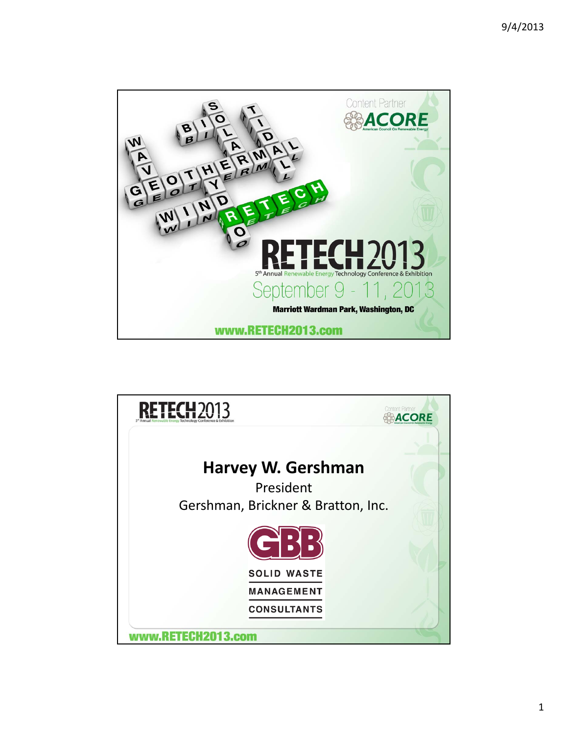

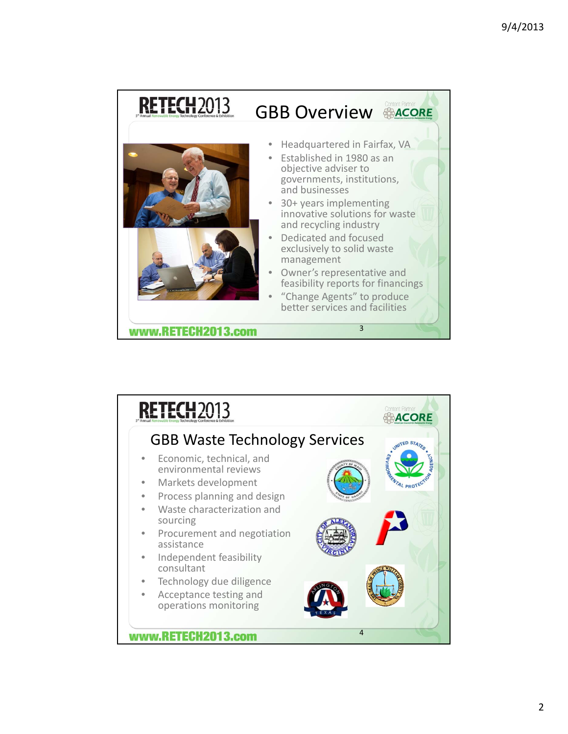

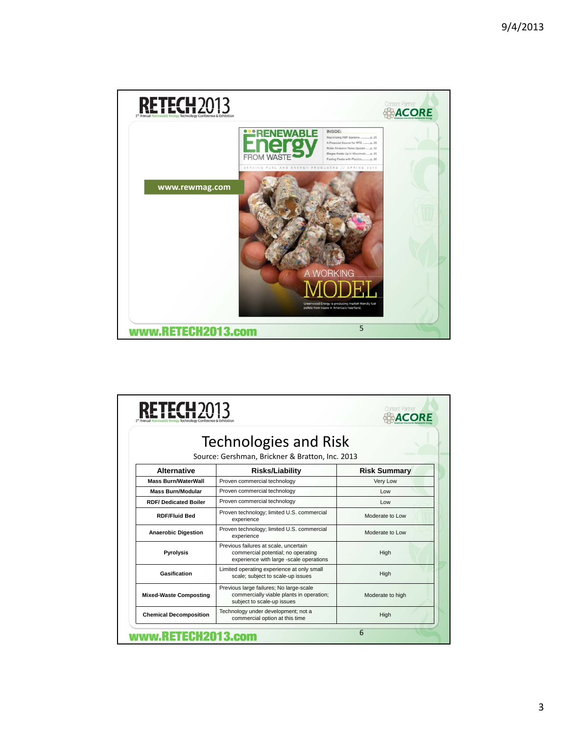

| <b>FTFCH</b> 20                                                          |                                                                                                                        |                     |
|--------------------------------------------------------------------------|------------------------------------------------------------------------------------------------------------------------|---------------------|
| Technologies and Risk<br>Source: Gershman, Brickner & Bratton, Inc. 2013 |                                                                                                                        |                     |
| <b>Alternative</b>                                                       | <b>Risks/Liability</b>                                                                                                 | <b>Risk Summary</b> |
| <b>Mass Burn/WaterWall</b>                                               | Proven commercial technology                                                                                           | Very Low            |
| <b>Mass Burn/Modular</b>                                                 | Proven commercial technology                                                                                           | Low                 |
| <b>RDF/Dedicated Boiler</b>                                              | Proven commercial technology                                                                                           | Low                 |
| <b>RDF/Fluid Bed</b>                                                     | Proven technology; limited U.S. commercial<br>experience                                                               | Moderate to Low     |
| <b>Anaerobic Digestion</b>                                               | Proven technology; limited U.S. commercial<br>experience                                                               | Moderate to Low     |
| <b>Pyrolysis</b>                                                         | Previous failures at scale, uncertain<br>commercial potential; no operating<br>experience with large -scale operations | High                |
| Gasification                                                             | Limited operating experience at only small<br>scale; subject to scale-up issues                                        | High                |
| <b>Mixed-Waste Composting</b>                                            | Previous large failures; No large-scale<br>commercially viable plants in operation;<br>subject to scale-up issues      | Moderate to high    |
| <b>Chemical Decomposition</b>                                            | Technology under development; not a<br>commercial option at this time                                                  | High                |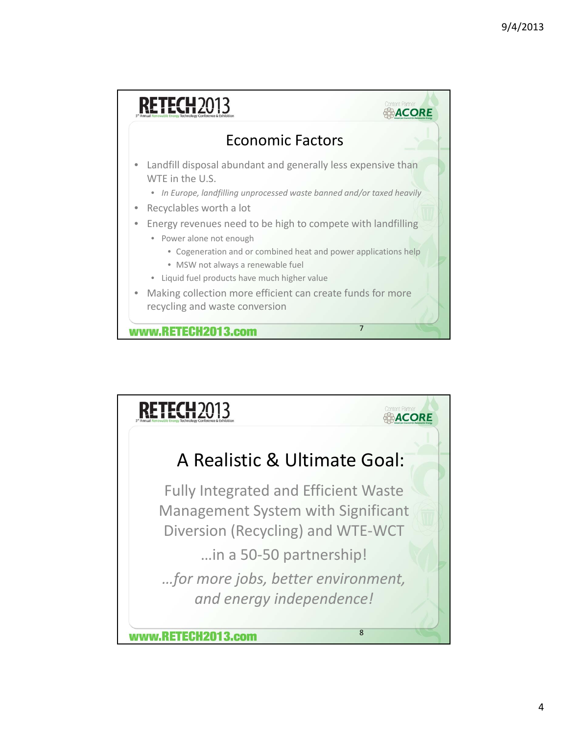